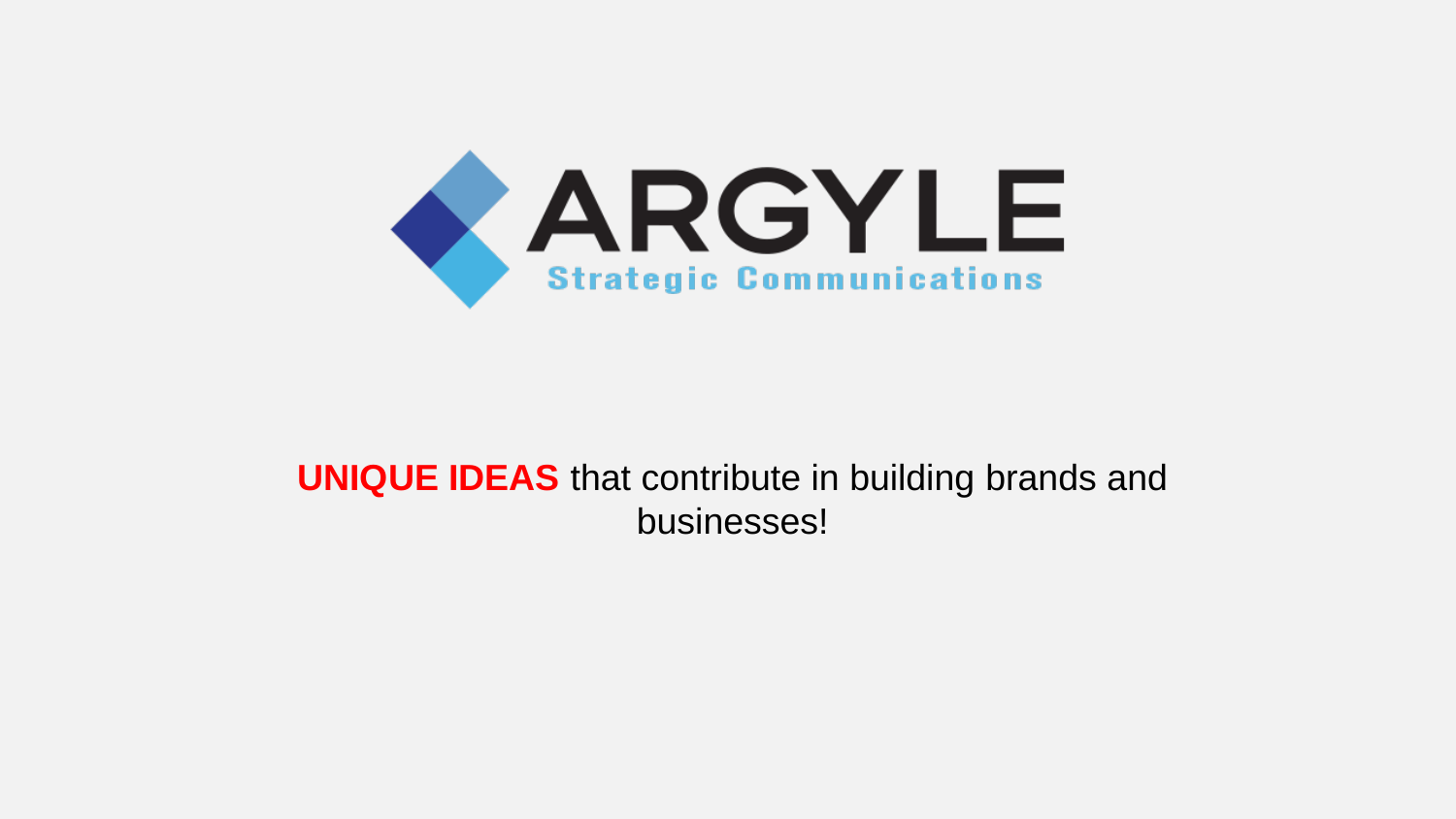

### **UNIQUE IDEAS** that contribute in building brands and businesses!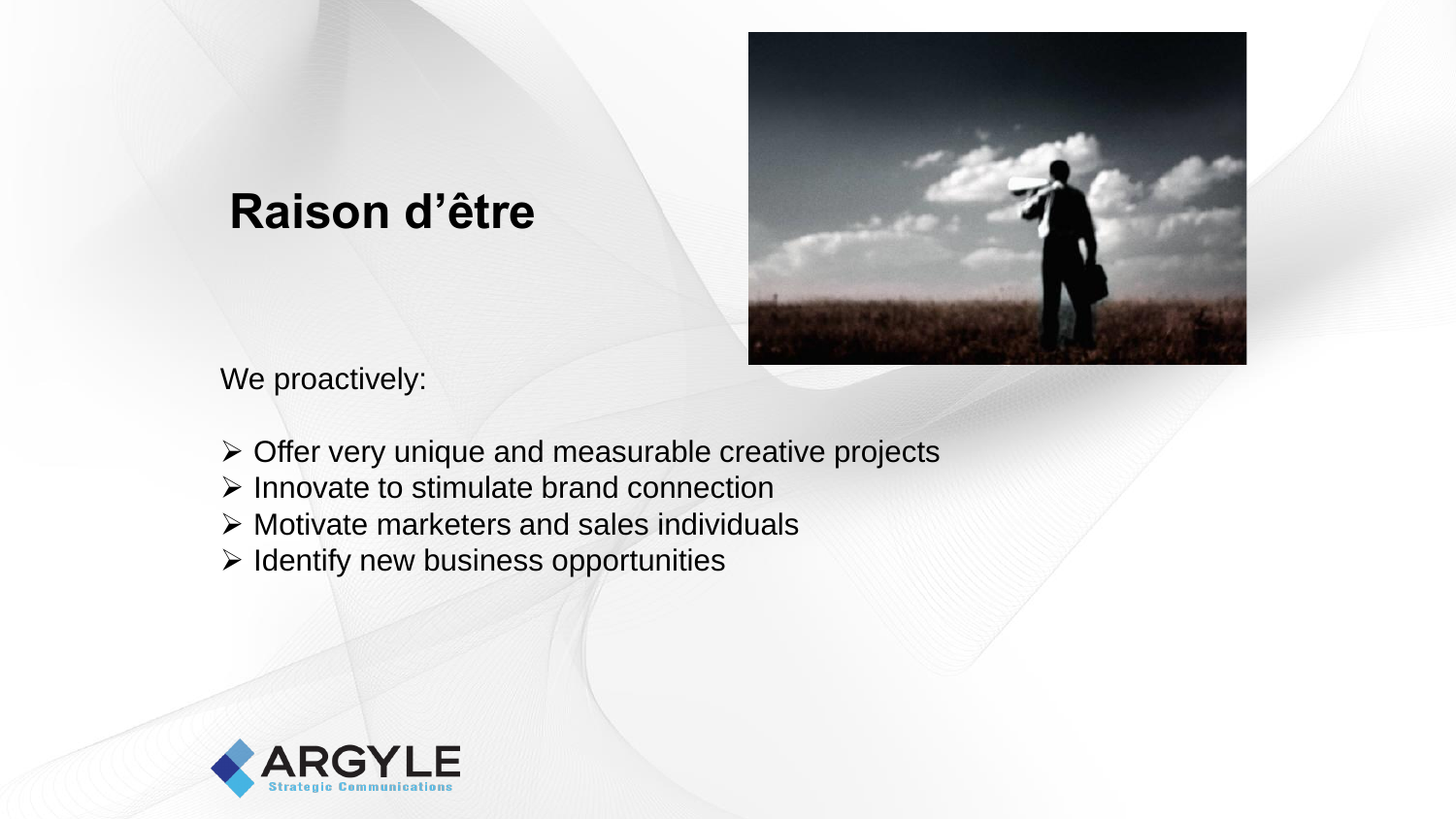## **Raison d'être**



We proactively:

- ➢ Offer very unique and measurable creative projects
- ➢ Innovate to stimulate brand connection
- ➢ Motivate marketers and sales individuals
- ➢ Identify new business opportunities

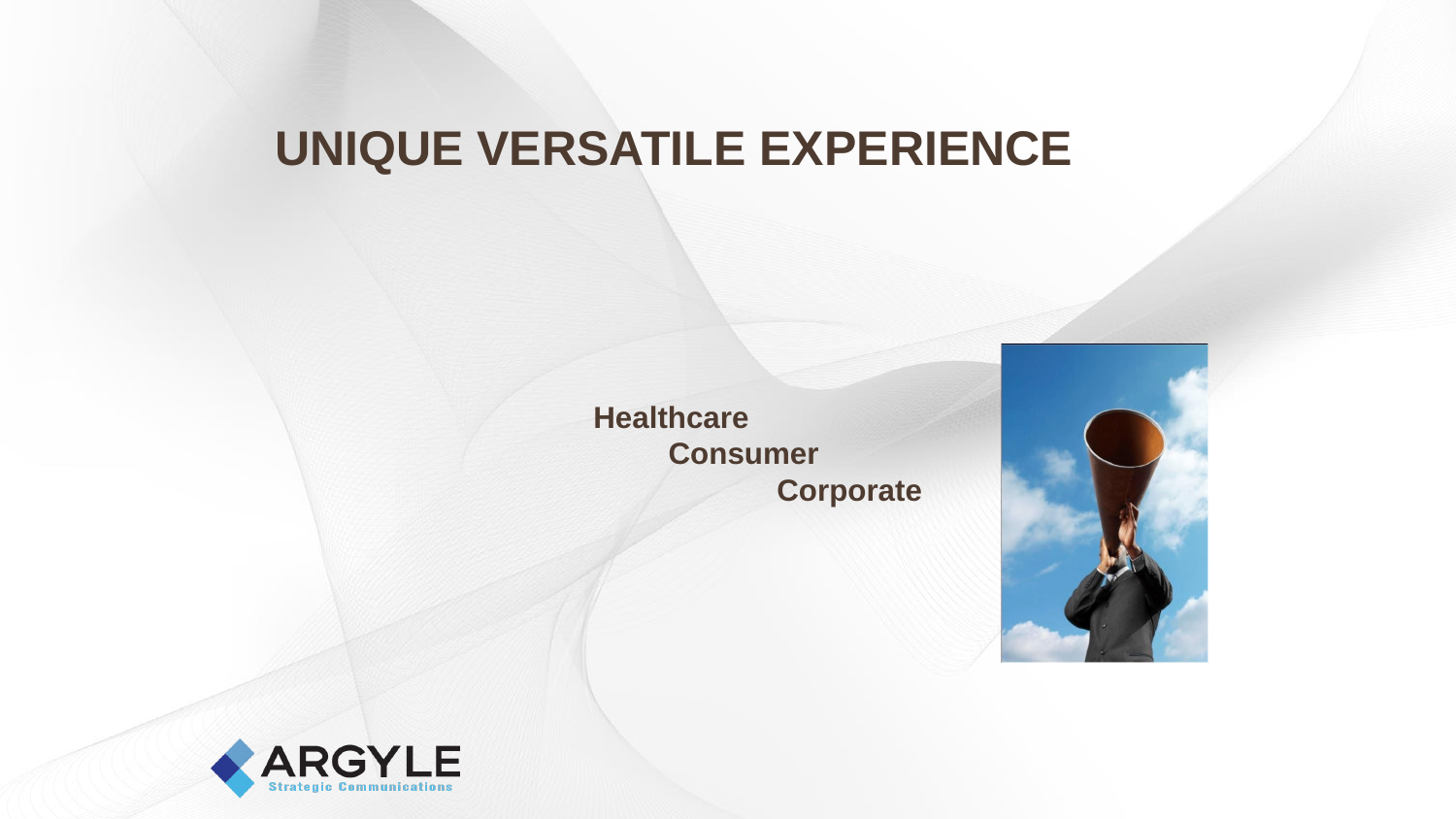# **UNIQUE VERSATILE EXPERIENCE**

**Healthcare Consumer Corporate**



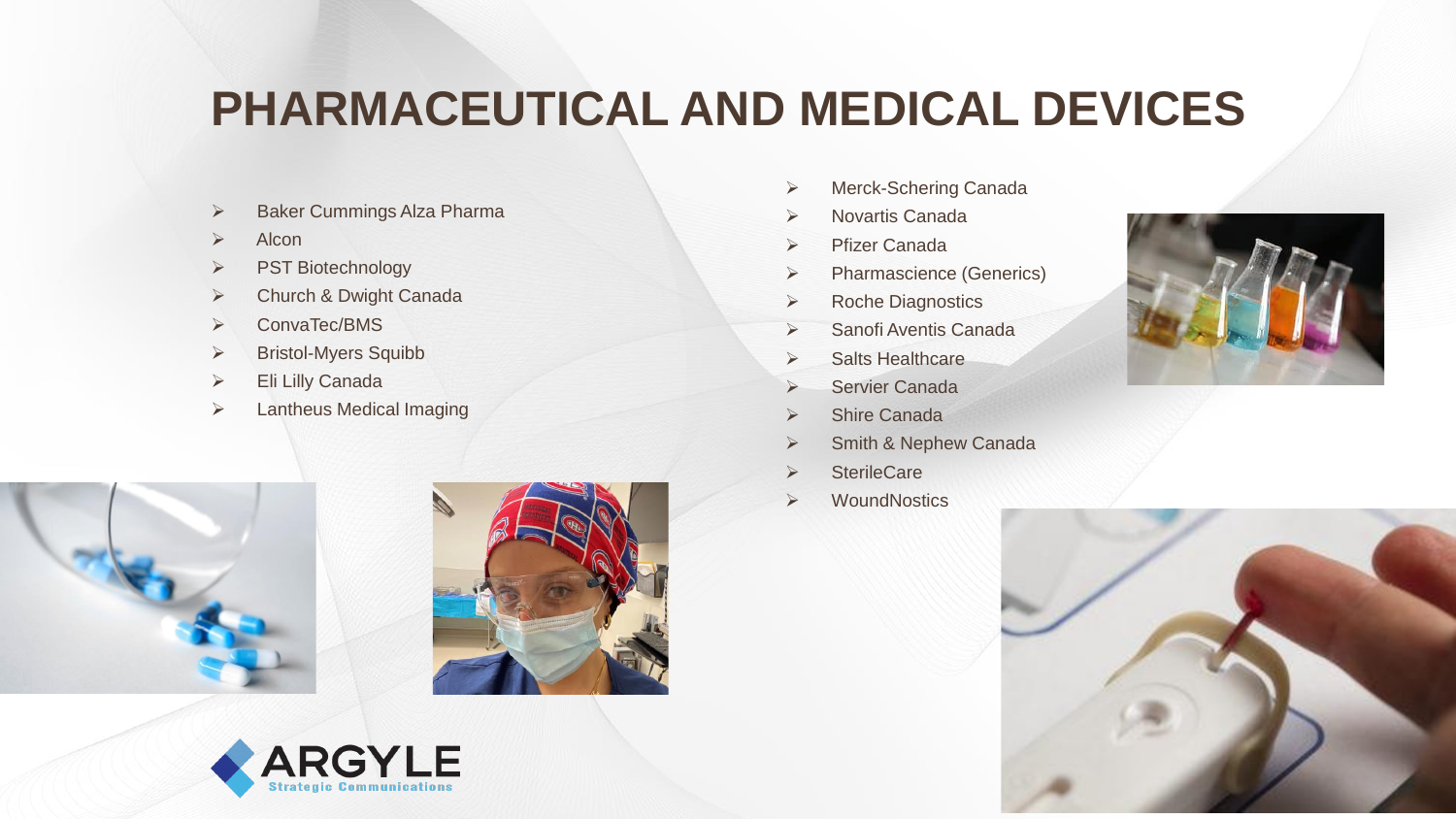# **PHARMACEUTICAL AND MEDICAL DEVICES**

- ➢ Baker Cummings Alza Pharma
- ➢ Alcon
- ➢ PST Biotechnology
- ➢ Church & Dwight Canada
- ➢ ConvaTec/BMS
- ➢ Bristol-Myers Squibb
- ➢ Eli Lilly Canada
- ➢ Lantheus Medical Imaging
- ➢ Merck-Schering Canada
- ➢ Novartis Canada
- ➢ Pfizer Canada
- ➢ Pharmascience (Generics)
- ➢ Roche Diagnostics
- ➢ Sanofi Aventis Canada
- ➢ Salts Healthcare
- ➢ Servier Canada
- **Shire Canada**
- ➢ Smith & Nephew Canada
- ➢ SterileCare
- **WoundNostics**









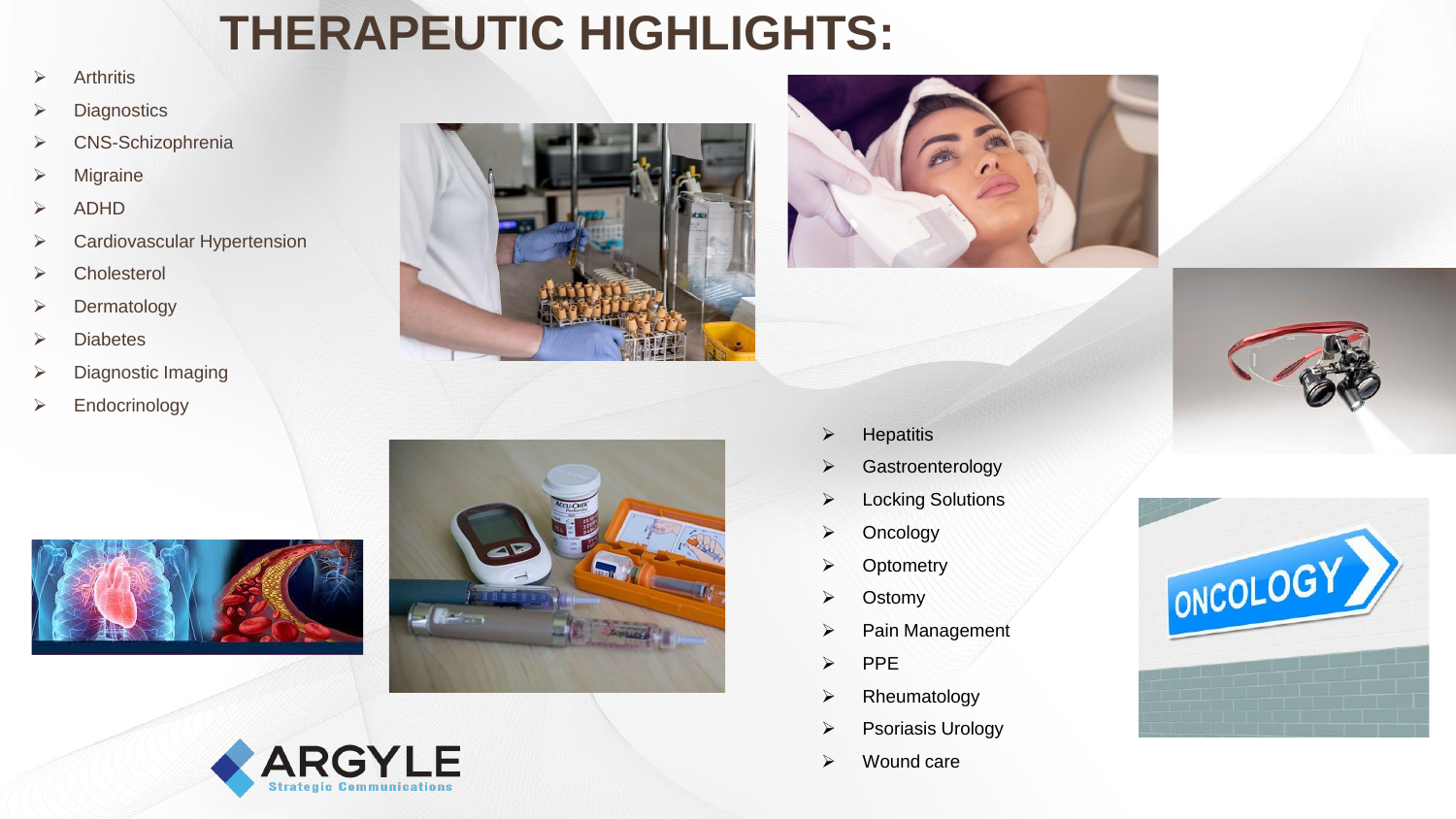# **THERAPEUTIC HIGHLIGHTS:**

- ➢ Arthritis
- ➢ Diagnostics
- ➢ CNS-Schizophrenia
- ➢ Migraine
- ➢ ADHD
- ➢ Cardiovascular Hypertension
- ➢ Cholesterol
- ➢ Dermatology
- ➢ Diabetes
- ➢ Diagnostic Imaging
- ➢ Endocrinology









- ➢ Hepatitis
- ➢ Gastroenterology
- ➢ Locking Solutions
- ➢ Oncology
- ➢ Optometry
- ➢ Ostomy
- ➢ Pain Management
- ➢ PPE
- ➢ Rheumatology
- ➢ Psoriasis Urology
- ➢ Wound care





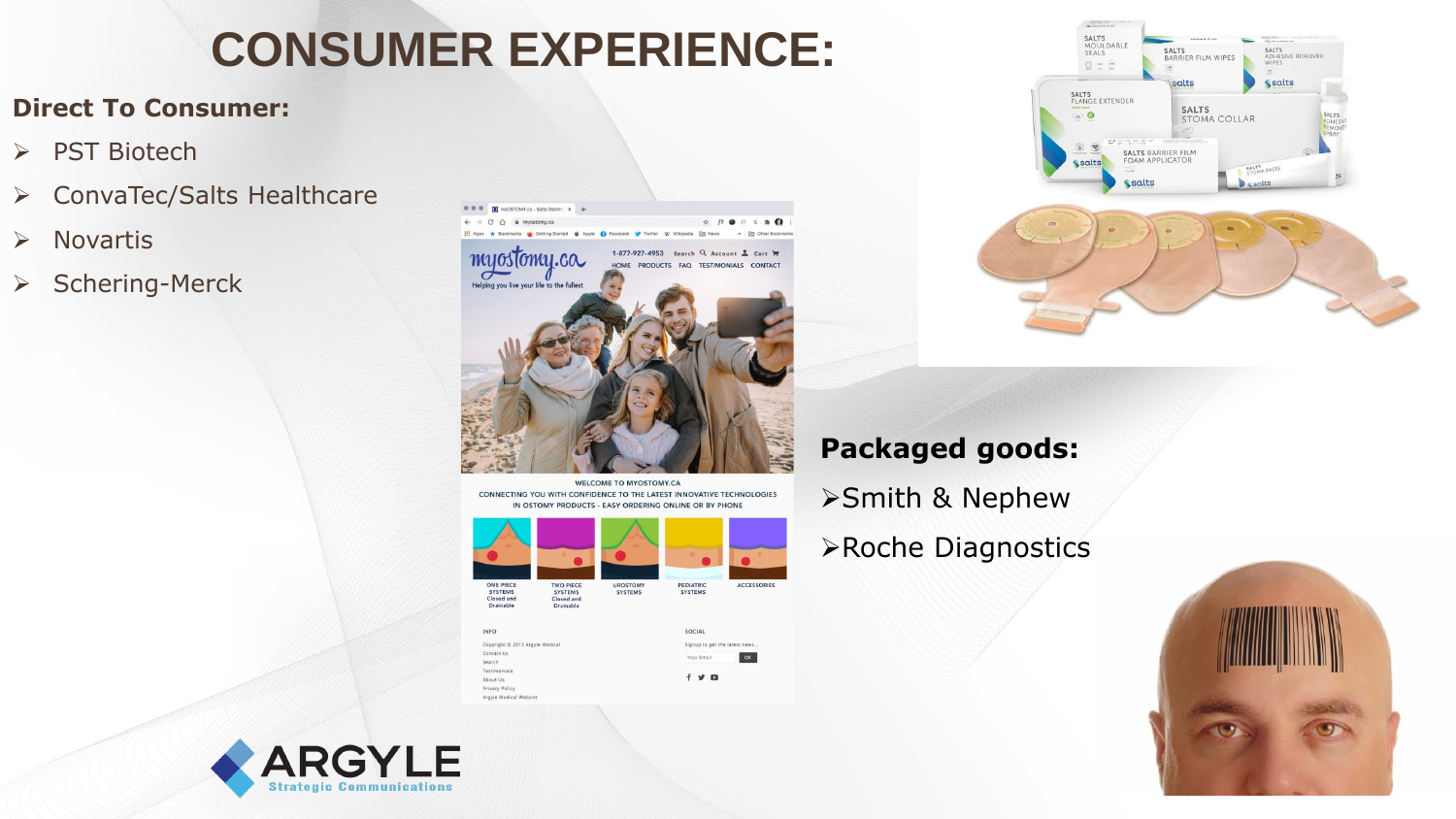# **CONSUMER EXPERIENCE:**

#### **Direct To Consumer:**

- ➢ PST Biotech
- ➢ ConvaTec/Salts Healthcare
- ➢ Novartis
- ➢ Schering-Merck



WELCOME TO MYOSTOMY.CA CONNECTING YOU WITH CONFIDENCE TO THE LATEST INNOVATIVE TECHNOLOGIES IN OSTOMY PRODUCTS - EASY ORDERING ONLINE OR BY PHONE



 $f \times Q$ 

Testimonia

About Us Privacy Policy Argyle Medical Website



### **Packaged goods:**

- ➢Smith & Nephew
- ➢Roche Diagnostics



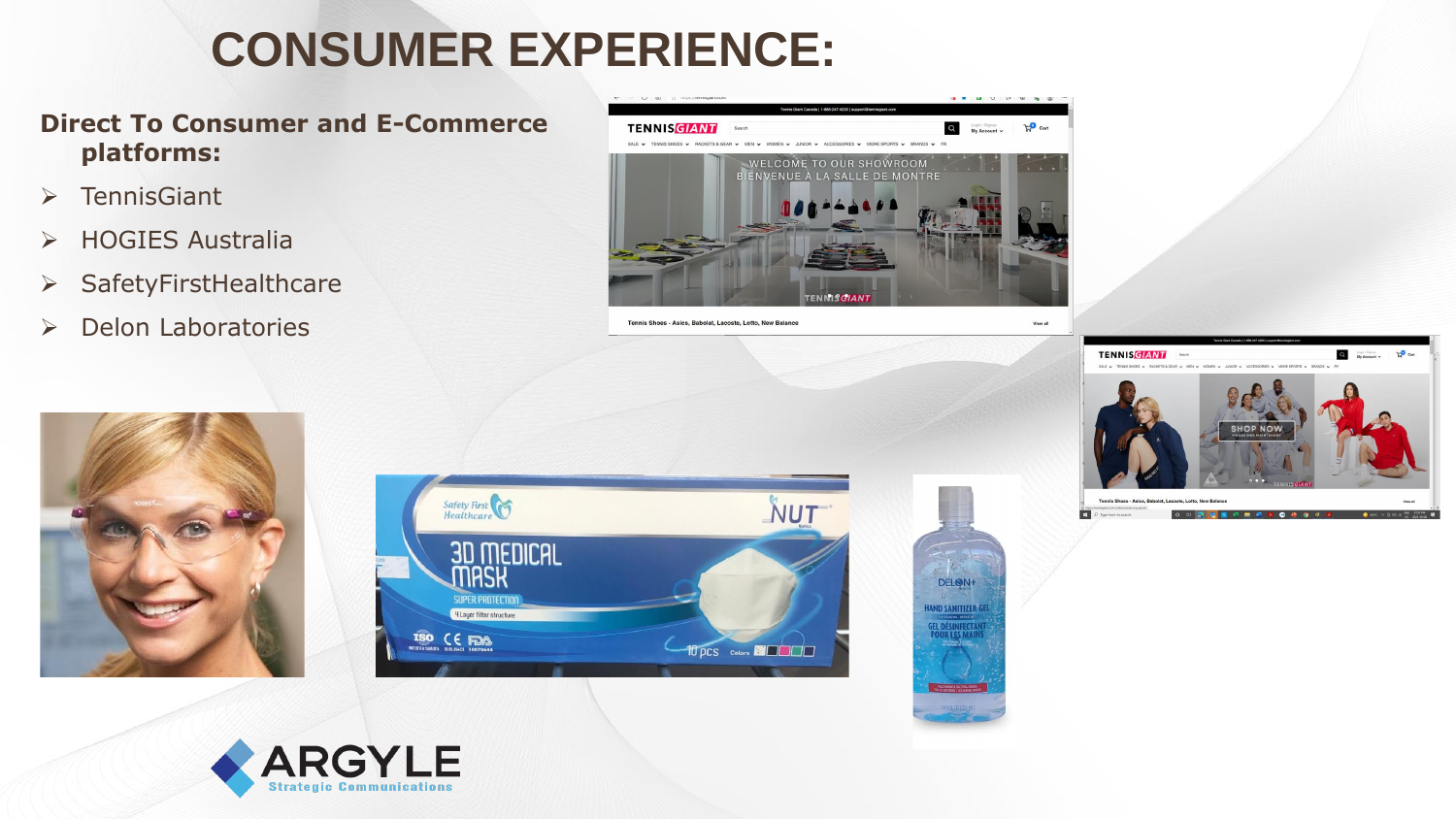# **CONSUMER EXPERIENCE:**

#### **Direct To Consumer and E-Commerce platforms:**

- ➢ TennisGiant
- ➢ HOGIES Australia
- ➢ SafetyFirstHealthcare
- ➢ Delon Laboratories



Tennis Shoes - Asics, Babolat, Lacoste, Lotto, New Balance











View all